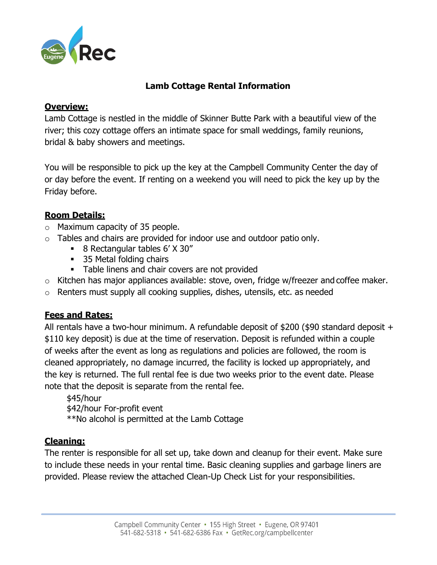

## **Lamb Cottage Rental Information**

### **Overview:**

Lamb Cottage is nestled in the middle of Skinner Butte Park with a beautiful view of the river; this cozy cottage offers an intimate space for small weddings, family reunions, bridal & baby showers and meetings.

You will be responsible to pick up the key at the Campbell Community Center the day of or day before the event. If renting on a weekend you will need to pick the key up by the Friday before.

## **Room Details:**

- o Maximum capacity of 35 people.
- $\circ$  Tables and chairs are provided for indoor use and outdoor patio only.
	- 8 Rectangular tables 6' X 30"
	- 35 Metal folding chairs
	- **Table linens and chair covers are not provided**
- o Kitchen has major appliances available: stove, oven, fridge w/freezer and coffee maker.
- o Renters must supply all cooking supplies, dishes, utensils, etc. as needed

## **Fees and Rates:**

All rentals have a two-hour minimum. A refundable deposit of \$200 (\$90 standard deposit + \$110 key deposit) is due at the time of reservation. Deposit is refunded within a couple of weeks after the event as long as regulations and policies are followed, the room is cleaned appropriately, no damage incurred, the facility is locked up appropriately, and the key is returned. The full rental fee is due two weeks prior to the event date. Please note that the deposit is separate from the rental fee.

\$45/hour \$42/hour For-profit event \*\*No alcohol is permitted at the Lamb Cottage

## **Cleaning:**

The renter is responsible for all set up, take down and cleanup for their event. Make sure to include these needs in your rental time. Basic cleaning supplies and garbage liners are provided. Please review the attached Clean-Up Check List for your responsibilities.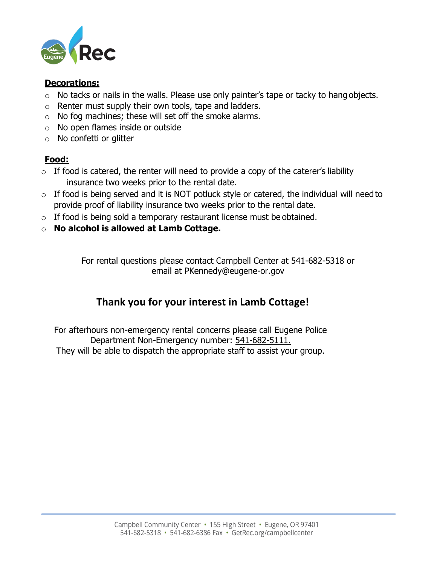

### **Decorations:**

- $\circ$  No tacks or nails in the walls. Please use only painter's tape or tacky to hang objects.
- o Renter must supply their own tools, tape and ladders.
- o No fog machines; these will set off the smoke alarms.
- o No open flames inside or outside
- o No confetti or glitter

## **Food:**

- $\circ$  If food is catered, the renter will need to provide a copy of the caterer's liability insurance two weeks prior to the rental date.
- $\circ$  If food is being served and it is NOT potluck style or catered, the individual will need to provide proof of liability insurance two weeks prior to the rental date.
- $\circ$  If food is being sold a temporary restaurant license must be obtained.
- o **No alcohol is allowed at Lamb Cottage.**

For rental questions please contact Campbell Center at 541-682-5318 or email at [PKennedy@eugene-or.gov](mailto:PKennedy@eugene-or.gov)

# **Thank you for your interest in Lamb Cottage!**

For afterhours non-emergency rental concerns please call Eugene Police Department Non-Emergency number: 541-682-5111. They will be able to dispatch the appropriate staff to assist your group.